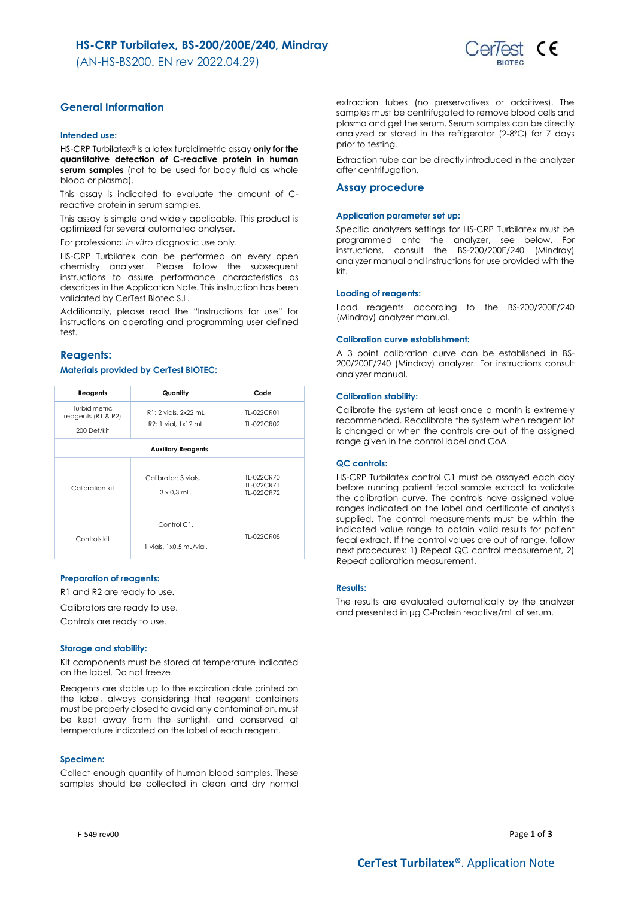# **HS-CRP Turbilatex, BS-200/200E/240, Mindray**

(AN-HS-BS200. EN rev 2022.04.29)



# **General Information**

## **Intended use:**

HS-CRP Turbilatex® is a latex turbidimetric assay **only for the quantitative detection of C-reactive protein in human**  serum samples (not to be used for body fluid as whole blood or plasma).

This assay is indicated to evaluate the amount of Creactive protein in serum samples.

This assay is simple and widely applicable. This product is optimized for several automated analyser.

For professional *in vitro* diagnostic use only.

HS-CRP Turbilatex can be performed on every open chemistry analyser. Please follow the subsequent instructions to assure performance characteristics as describes in the Application Note. This instruction has been validated by CerTest Biotec S.L.

Additionally, please read the "Instructions for use" for instructions on operating and programming user defined test.

# **Reagents:**

## **Materials provided by CerTest BIOTEC:**

| Reagents                                  | Quantity                                   | Code                                   |  |  |
|-------------------------------------------|--------------------------------------------|----------------------------------------|--|--|
| Turbidimetric<br>reagents ( $R1$ & $R2$ ) | R1: 2 vials, 2x22 mL                       | TI-022CR01                             |  |  |
| 200 Det/kit                               | R2: 1 vial. 1x12 mL                        | TI-022CR02                             |  |  |
| <b>Auxiliary Reagents</b>                 |                                            |                                        |  |  |
| Calibration kit                           | Calibrator: 3 vials.<br>$3 \times 0.3$ mL. | TI-022CR70<br>TI-022CR71<br>TI-022CR72 |  |  |
| Controls kit                              | Control C1.<br>1 vials, 1x0,5 mL/vial.     | TI-022CR08                             |  |  |

## **Preparation of reagents:**

R1 and R2 are ready to use.

Calibrators are ready to use.

Controls are ready to use.

#### **Storage and stability:**

Kit components must be stored at temperature indicated on the label. Do not freeze.

Reagents are stable up to the expiration date printed on the label, always considering that reagent containers must be properly closed to avoid any contamination, must be kept away from the sunlight, and conserved at temperature indicated on the label of each reagent.

### **Specimen:**

Collect enough quantity of human blood samples. These samples should be collected in clean and dry normal

extraction tubes (no preservatives or additives). The samples must be centrifugated to remove blood cells and plasma and get the serum. Serum samples can be directly analyzed or stored in the refrigerator (2-8ºC) for 7 days prior to testing.

Extraction tube can be directly introduced in the analyzer after centrifugation.

#### **Assay procedure**

## **Application parameter set up:**

Specific analyzers settings for HS-CRP Turbilatex must be programmed onto the analyzer, see below. For instructions, consult the BS-200/200E/240 (Mindray) analyzer manual and instructions for use provided with the kit.

#### **Loading of reagents:**

Load reagents according to the BS-200/200E/240 (Mindray) analyzer manual.

#### **Calibration curve establishment:**

A 3 point calibration curve can be established in BS-200/200E/240 (Mindray) analyzer. For instructions consult analyzer manual.

#### **Calibration stability:**

Calibrate the system at least once a month is extremely recommended. Recalibrate the system when reagent lot is changed or when the controls are out of the assigned range given in the control label and CoA.

# **QC controls:**

HS-CRP Turbilatex control C1 must be assayed each day before running patient fecal sample extract to validate the calibration curve. The controls have assigned value ranges indicated on the label and certificate of analysis supplied. The control measurements must be within the indicated value range to obtain valid results for patient fecal extract. If the control values are out of range, follow next procedures: 1) Repeat QC control measurement, 2) Repeat calibration measurement.

## **Results:**

The results are evaluated automatically by the analyzer and presented in μg C-Protein reactive/mL of serum.

F-549 rev00 Page **1** of **3**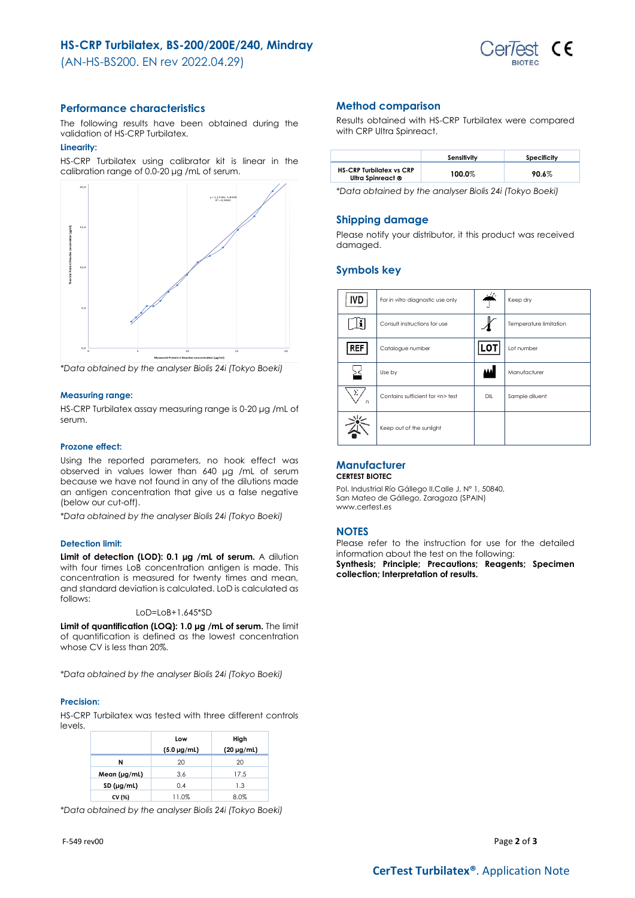(AN-HS-BS200. EN rev 2022.04.29)



# **Performance characteristics**

The following results have been obtained during the validation of HS-CRP Turbilatex.

# **Linearity:**

HS-CRP Turbilatex using calibrator kit is linear in the calibration range of 0.0-20 μg /mL of serum.



*\*Data obtained by the analyser Biolis 24i (Tokyo Boeki)*

# **Measuring range:**

HS-CRP Turbilatex assay measuring range is 0-20 μg /mL of serum.

#### **Prozone effect:**

Using the reported parameters, no hook effect was observed in values lower than 640 μg /mL of serum because we have not found in any of the dilutions made an antigen concentration that give us a false negative (below our cut-off).

*\*Data obtained by the analyser Biolis 24i (Tokyo Boeki)*

## **Detection limit:**

**Limit of detection (LOD): 0.1 μg /mL of serum.** A dilution with four times LoB concentration antigen is made. This concentration is measured for twenty times and mean, and standard deviation is calculated. LoD is calculated as follows:

LoD=LoB+1.645\*SD

**Limit of quantification (LOQ): 1.0 μg /mL of serum.** The limit of quantification is defined as the lowest concentration whose CV is less than 20%.

*\*Data obtained by the analyser Biolis 24i (Tokyo Boeki)*

#### **Precision:**

HS-CRP Turbilatex was tested with three different controls levels.

|                   | Low                | High            |
|-------------------|--------------------|-----------------|
|                   | $(5.0 \,\mu g/ml)$ | $(20 \mu g/ml)$ |
| N                 | 20                 | 20              |
| Mean $(\mu g/ml)$ | 3.6                | 17.5            |
| SD (µg/ml)        | 0.4                | 1.3             |
| CV (%)            | 11.0%              | 8.0%            |

*\*Data obtained by the analyser Biolis 24i (Tokyo Boeki)*

# **Method comparison**

Results obtained with HS-CRP Turbilatex were compared with CRP Ultra Spinreact.

|                                                      | Sensitivity | Specificity |
|------------------------------------------------------|-------------|-------------|
| <b>HS-CRP Turbilatex vs CRP</b><br>Ultra Spinreact ® | 100.0%      | 90.6%       |

*\*Data obtained by the analyser Biolis 24i (Tokyo Boeki)*

## **Shipping damage**

Please notify your distributor, it this product was received damaged.

# **Symbols key**

| IVD    | For in vitro diagnostic use only     |     | Keep dry               |
|--------|--------------------------------------|-----|------------------------|
|        | Consult instructions for use         |     | Temperature limitation |
| REF    | Catalogue number                     | LOT | Lot number             |
|        | Use by                               |     | Manufacturer           |
| Σ<br>n | Contains sufficient for <n> test</n> | DIL | Sample diluent         |
|        | Keep out of the sunlight             |     |                        |

#### **Manufacturer CERTEST BIOTEC**

Pol. Industrial Río Gállego II,Calle J, Nº 1, 50840, San Mateo de Gállego, Zaragoza (SPAIN) www.certest.es

## **NOTES**

Please refer to the instruction for use for the detailed information about the test on the following: **Synthesis; Principle; Precautions; Reagents; Specimen collection; Interpretation of results.**